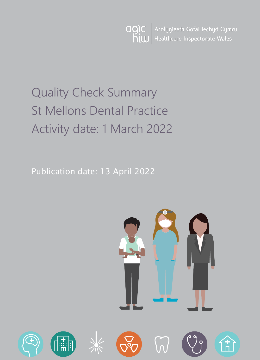Arolygiaeth Gofal Iechyd Cymru agic  $h$ <sub>i</sub> $\omega$ Healthcare Inspectorate Wales

# Quality Check Summary St Mellons Dental Practice Activity date: 1 March 2022

Publication date: 13 April 2022

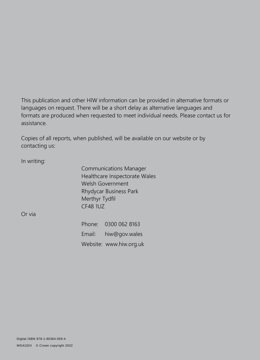This publication and other HIW information can be provided in alternative formats or languages on request. There will be a short delay as alternative languages and formats are produced when requested to meet individual needs. Please contact us for assistance.

Copies of all reports, when published, will be available on our website or by contacting us:

In writing:

Communications Manager Healthcare Inspectorate Wales Welsh Government Rhydycar Business Park Merthyr Tydfil CF48 1UZ

Or via

Phone: 0300 062 8163 Email: [hiw@gov.wales](mailto:hiw@gov.wales) Website: [www.hiw.org.uk](http://www.hiw.org.uk/)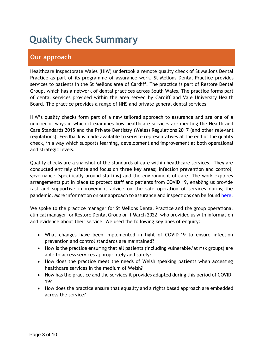# **Quality Check Summary**

## **Our approach**

Healthcare Inspectorate Wales (HIW) undertook a remote quality check of St Mellons Dental Practice as part of its programme of assurance work. St Mellons Dental Practice provides services to patients in the St Mellons area of Cardiff. The practice is part of Restore Dental Group, which has a network of dental practices across South Wales. The practice forms part of dental services provided within the area served by Cardiff and Vale University Health Board. The practice provides a range of NHS and private general dental services.

HIW's quality checks form part of a new tailored approach to assurance and are one of a number of ways in which it examines how healthcare services are meeting the Health and Care Standards 2015 and the Private Dentistry (Wales) Regulations 2017 (and other relevant regulations). Feedback is made available to service representatives at the end of the quality check, in a way which supports learning, development and improvement at both operational and strategic levels.

Quality checks are a snapshot of the standards of care within healthcare services. They are conducted entirely offsite and focus on three key areas; infection prevention and control, governance (specifically around staffing) and the environment of care. The work explores arrangements put in place to protect staff and patients from COVID 19, enabling us provide fast and supportive improvement advice on the safe operation of services during the pandemic. More information on our approach to assurance and inspections can be found [here.](https://hiw.org.uk/covid-19-response-and-our-approach-assurance-and-inspection)

We spoke to the practice manager for St Mellons Dental Practice and the group operational clinical manager for Restore Dental Group on 1 March 2022, who provided us with information and evidence about their service. We used the following key lines of enquiry:

- What changes have been implemented in light of COVID-19 to ensure infection prevention and control standards are maintained?
- How is the practice ensuring that all patients (including vulnerable/at risk groups) are able to access services appropriately and safely?
- How does the practice meet the needs of Welsh speaking patients when accessing healthcare services in the medium of Welsh?
- How has the practice and the services it provides adapted during this period of COVID-19?
- How does the practice ensure that equality and a rights based approach are embedded across the service?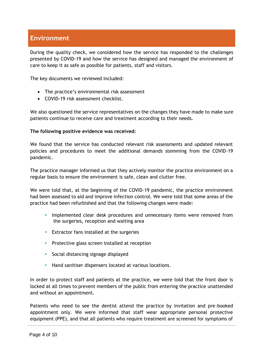### **Environment**

During the quality check, we considered how the service has responded to the challenges presented by COVID-19 and how the service has designed and managed the environment of care to keep it as safe as possible for patients, staff and visitors.

The key documents we reviewed included:

- The practice's environmental risk assessment
- COVID-19 risk assessment checklist.

We also questioned the service representatives on the changes they have made to make sure patients continue to receive care and treatment according to their needs.

#### **The following positive evidence was received:**

We found that the service has conducted relevant risk assessments and updated relevant policies and procedures to meet the additional demands stemming from the COVID-19 pandemic.

The practice manager informed us that they actively monitor the practice environment on a regular basis to ensure the environment is safe, clean and clutter free.

We were told that, at the beginning of the COVID-19 pandemic, the practice environment had been assessed to aid and improve infection control. We were told that some areas of the practice had been refurbished and that the following changes were made:

- Implemented clear desk procedures and unnecessary items were removed from the surgeries, reception and waiting area
- Extractor fans installed at the surgeries
- Protective glass screen installed at reception
- Social distancing signage displayed
- Hand sanitiser dispensers located at various locations.

In order to protect staff and patients at the practice, we were told that the front door is locked at all times to prevent members of the public from entering the practice unattended and without an appointment.

Patients who need to see the dentist attend the practice by invitation and pre-booked appointment only. We were informed that staff wear appropriate personal protective equipment (PPE), and that all patients who require treatment are screened for symptoms of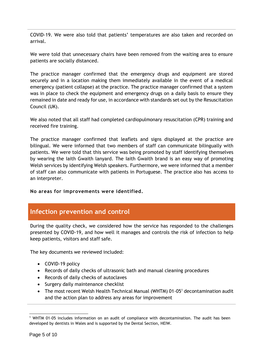COVID-19. We were also told that patients' temperatures are also taken and recorded on arrival.

We were told that unnecessary chairs have been removed from the waiting area to ensure patients are socially distanced.

The practice manager confirmed that the emergency drugs and equipment are stored securely and in a location making them immediately available in the event of a medical emergency (patient collapse) at the practice. The practice manager confirmed that a system was in place to check the equipment and emergency drugs on a daily basis to ensure they remained in date and ready for use, in accordance with standards set out by the Resuscitation Council (UK).

We also noted that all staff had completed cardiopulmonary resuscitation (CPR) training and received fire training.

The practice manager confirmed that leaflets and signs displayed at the practice are bilingual. We were informed that two members of staff can communicate bilingually with patients. We were told that this service was being promoted by staff identifying themselves by wearing the Iaith Gwaith lanyard. The Iaith Gwaith brand is an easy way of promoting Welsh services by identifying Welsh speakers. Furthermore, we were informed that a member of staff can also communicate with patients in Portuguese. The practice also has access to an interpreter.

#### **No areas for improvements were identified.**

### **Infection prevention and control**

During the quality check, we considered how the service has responded to the challenges presented by COVID-19, and how well it manages and controls the risk of infection to help keep patients, visitors and staff safe.

The key documents we reviewed included:

- COVID-19 policy
- Records of daily checks of ultrasonic bath and manual cleaning procedures
- Records of daily checks of autoclaves
- Surgery daily maintenance checklist
- The most recent Welsh Health Technical Manual (WHTM) 01-051 decontamination audit and the action plan to address any areas for improvement

 $\overline{a}$ 

<sup>1</sup> WHTM 01-05 includes information on an audit of compliance with decontamination. The audit has been developed by dentists in Wales and is supported by the Dental Section, HEIW.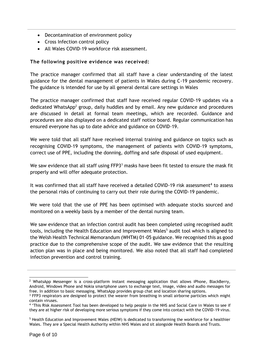- Decontamination of environment policy
- Cross Infection control policy
- All Wales COVID-19 workforce risk assessment.

#### **The following positive evidence was received:**

The practice manager confirmed that all staff have a clear understanding of the latest guidance for the dental management of patients in Wales during C-19 pandemic recovery. The guidance is intended for use by all general dental care settings in Wales

The practice manager confirmed that staff have received regular COVID-19 updates via a dedicated WhatsApp<sup>2</sup> group, daily huddles and by email. Any new guidance and procedures are discussed in detail at formal team meetings, which are recorded. Guidance and procedures are also displayed on a dedicated staff notice board. Regular communication has ensured everyone has up to date advice and guidance on COVID-19.

We were told that all staff have received internal training and guidance on topics such as recognising COVID-19 symptoms, the management of patients with COVID-19 symptoms, correct use of PPE, including the donning, doffing and safe disposal of used equipment.

We saw evidence that all staff using FFP3<sup>3</sup> masks have been fit tested to ensure the mask fit properly and will offer adequate protection.

It was confirmed that all staff have received a detailed COVID-19 risk assessment<sup>4</sup> to assess the personal risks of continuing to carry out their role during the COVID-19 pandemic.

We were told that the use of PPE has been optimised with adequate stocks sourced and monitored on a weekly basis by a member of the dental nursing team.

We saw evidence that an infection control audit has been completed using recognised audit tools, including the Health Education and Improvement Wales<sup>5</sup> audit tool which is aligned to the Welsh Health Technical Memorandum (WHTM) 01-05 guidance. We recognised this as good practice due to the comprehensive scope of the audit. We saw evidence that the resulting action plan was in place and being monitored. We also noted that all staff had completed infection prevention and control training.

<sup>&</sup>lt;sup>2</sup> WhatsApp Messenger is a cross-platform instant messaging application that allows iPhone, BlackBerry, Android, Windows Phone and Nokia smartphone users to exchange text, image, video and audio messages for free. In addition to basic messaging, WhatsApp provides group chat and location sharing options.

<sup>&</sup>lt;sup>3</sup> FFP3 respirators are designed to protect the wearer from breathing in small airborne particles which might contain viruses.

<sup>4</sup> 'This Risk Assessment Tool has been developed to help people in the NHS and Social Care in Wales to see if they are at higher risk of developing more serious symptoms if they come into contact with the COVID-19 virus.

<sup>&</sup>lt;sup>5</sup> Health Education and Improvement Wales (HEIW) is dedicated to transforming the workforce for a healthier Wales. They are a Special Health Authority within NHS Wales and sit alongside Health Boards and Trusts.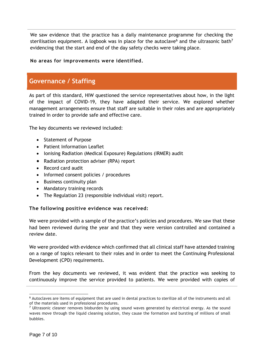We saw evidence that the practice has a daily maintenance programme for checking the sterilisation equipment. A logbook was in place for the autoclave<sup>6</sup> and the ultrasonic bath<sup>7</sup> evidencing that the start and end of the day safety checks were taking place.

#### **No areas for improvements were identified.**

### **Governance / Staffing**

As part of this standard, HIW questioned the service representatives about how, in the light of the impact of COVID-19, they have adapted their service. We explored whether management arrangements ensure that staff are suitable in their roles and are appropriately trained in order to provide safe and effective care.

The key documents we reviewed included:

- Statement of Purpose
- Patient Information Leaflet
- Ionising Radiation (Medical Exposure) Regulations (IRMER) audit
- Radiation protection adviser (RPA) report
- Record card audit
- Informed consent policies / procedures
- Business continuity plan
- Mandatory training records
- The Regulation 23 (responsible individual visit) report.

#### **The following positive evidence was received:**

We were provided with a sample of the practice's policies and procedures. We saw that these had been reviewed during the year and that they were version controlled and contained a review date.

We were provided with evidence which confirmed that all clinical staff have attended training on a range of topics relevant to their roles and in order to meet the Continuing Professional Development (CPD) requirements.

From the key documents we reviewed, it was evident that the practice was seeking to continuously improve the service provided to patients. We were provided with copies of

<sup>6</sup> Autoclaves are items of equipment that are used in dental practices to sterilize all of the instruments and all of the materials used in professional procedures.

<sup>&</sup>lt;sup>7</sup> Ultrasonic cleaner removes bioburden by using sound waves generated by electrical energy. As the sound waves move through the liquid cleaning solution, they cause the formation and bursting of millions of small bubbles.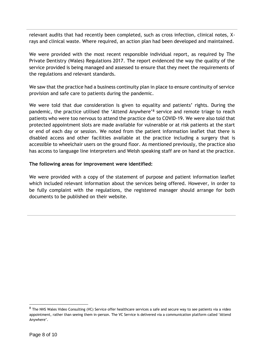relevant audits that had recently been completed, such as cross infection, clinical notes, Xrays and clinical waste. Where required, an action plan had been developed and maintained.

We were provided with the most recent responsible individual report, as required by The Private Dentistry (Wales) Regulations 2017. The report evidenced the way the quality of the service provided is being managed and assessed to ensure that they meet the requirements of the regulations and relevant standards.

We saw that the practice had a business continuity plan in place to ensure continuity of service provision and safe care to patients during the pandemic.

We were told that due consideration is given to equality and patients' rights. During the pandemic, the practice utilised the 'Attend Anywhere'<sup>8</sup> service and remote triage to reach patients who were too nervous to attend the practice due to COVID-19. We were also told that protected appointment slots are made available for vulnerable or at risk patients at the start or end of each day or session. We noted from the patient information leaflet that there is disabled access and other facilities available at the practice including a surgery that is accessible to wheelchair users on the ground floor. As mentioned previously, the practice also has access to language line interpreters and Welsh speaking staff are on hand at the practice.

#### **The following areas for improvement were identified:**

We were provided with a copy of the statement of purpose and patient information leaflet which included relevant information about the services being offered. However, in order to be fully complaint with the regulations, the registered manager should arrange for both documents to be published on their website.

 $\overline{a}$ 

 $^8$  The NHS Wales Video Consulting (VC) Service offer healthcare services a safe and secure way to see patients via a video appointment, rather than seeing them in-person. The VC Service is delivered via a communication platform called 'Attend Anywhere'.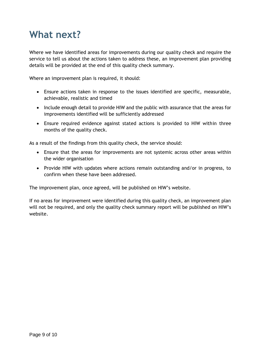# **What next?**

Where we have identified areas for improvements during our quality check and require the service to tell us about the actions taken to address these, an improvement plan providing details will be provided at the end of this quality check summary.

Where an improvement plan is required, it should:

- Ensure actions taken in response to the issues identified are specific, measurable, achievable, realistic and timed
- Include enough detail to provide HIW and the public with assurance that the areas for improvements identified will be sufficiently addressed
- Ensure required evidence against stated actions is provided to HIW within three months of the quality check.

As a result of the findings from this quality check, the service should:

- Ensure that the areas for improvements are not systemic across other areas within the wider organisation
- Provide HIW with updates where actions remain outstanding and/or in progress, to confirm when these have been addressed.

The improvement plan, once agreed, will be published on HIW's website.

If no areas for improvement were identified during this quality check, an improvement plan will not be required, and only the quality check summary report will be published on HIW's website.